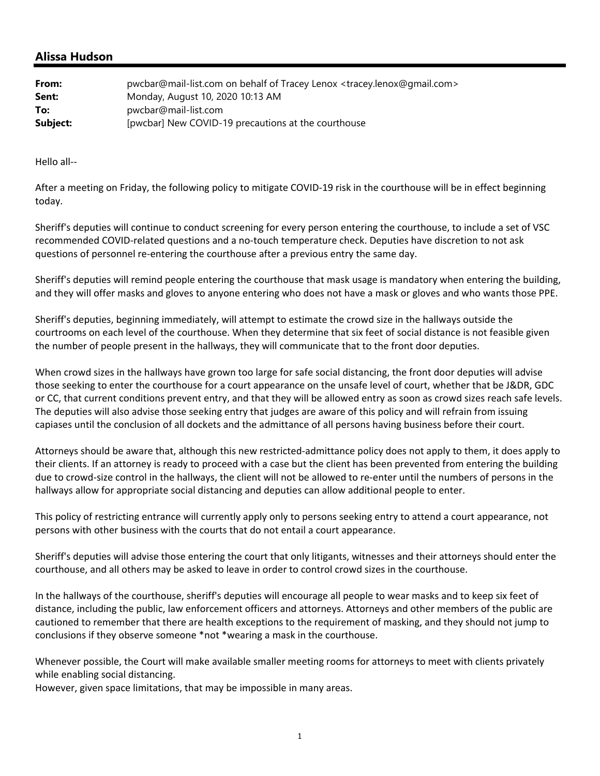## **Alissa Hudson**

| From:    | pwcbar@mail-list.com on behalf of Tracey Lenox <tracey.lenox@gmail.com></tracey.lenox@gmail.com> |
|----------|--------------------------------------------------------------------------------------------------|
| Sent:    | Monday, August 10, 2020 10:13 AM                                                                 |
| To:      | pwcbar@mail-list.com                                                                             |
| Subject: | [pwcbar] New COVID-19 precautions at the courthouse                                              |

Hello all‐‐

After a meeting on Friday, the following policy to mitigate COVID-19 risk in the courthouse will be in effect beginning today.

Sheriff's deputies will continue to conduct screening for every person entering the courthouse, to include a set of VSC recommended COVID‐related questions and a no‐touch temperature check. Deputies have discretion to not ask questions of personnel re-entering the courthouse after a previous entry the same day.

Sheriff's deputies will remind people entering the courthouse that mask usage is mandatory when entering the building, and they will offer masks and gloves to anyone entering who does not have a mask or gloves and who wants those PPE.

Sheriff's deputies, beginning immediately, will attempt to estimate the crowd size in the hallways outside the courtrooms on each level of the courthouse. When they determine that six feet of social distance is not feasible given the number of people present in the hallways, they will communicate that to the front door deputies.

When crowd sizes in the hallways have grown too large for safe social distancing, the front door deputies will advise those seeking to enter the courthouse for a court appearance on the unsafe level of court, whether that be J&DR, GDC or CC, that current conditions prevent entry, and that they will be allowed entry as soon as crowd sizes reach safe levels. The deputies will also advise those seeking entry that judges are aware of this policy and will refrain from issuing capiases until the conclusion of all dockets and the admittance of all persons having business before their court.

Attorneys should be aware that, although this new restricted‐admittance policy does not apply to them, it does apply to their clients. If an attorney is ready to proceed with a case but the client has been prevented from entering the building due to crowd‐size control in the hallways, the client will not be allowed to re‐enter until the numbers of persons in the hallways allow for appropriate social distancing and deputies can allow additional people to enter.

This policy of restricting entrance will currently apply only to persons seeking entry to attend a court appearance, not persons with other business with the courts that do not entail a court appearance.

Sheriff's deputies will advise those entering the court that only litigants, witnesses and their attorneys should enter the courthouse, and all others may be asked to leave in order to control crowd sizes in the courthouse.

In the hallways of the courthouse, sheriff's deputies will encourage all people to wear masks and to keep six feet of distance, including the public, law enforcement officers and attorneys. Attorneys and other members of the public are cautioned to remember that there are health exceptions to the requirement of masking, and they should not jump to conclusions if they observe someone \*not \*wearing a mask in the courthouse.

Whenever possible, the Court will make available smaller meeting rooms for attorneys to meet with clients privately while enabling social distancing.

However, given space limitations, that may be impossible in many areas.